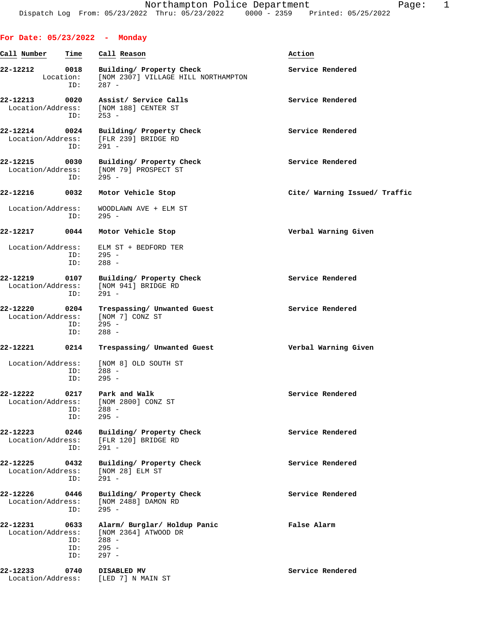## **For Date: 05/23/2022 - Monday**

| Call Number                   | Time                      | Call Reason                                                                         | Action                        |
|-------------------------------|---------------------------|-------------------------------------------------------------------------------------|-------------------------------|
| 22-12212                      | 0018<br>Location:<br>ID:  | Building/ Property Check<br>[NOM 2307] VILLAGE HILL NORTHAMPTON<br>$287 -$          | Service Rendered              |
| 22-12213<br>Location/Address: | 0020<br>ID:               | Assist/ Service Calls<br>[NOM 188] CENTER ST<br>$253 -$                             | Service Rendered              |
| 22-12214                      | 0024<br>ID:               | Building/ Property Check<br>Location/Address: [FLR 239] BRIDGE RD<br>$291 -$        | Service Rendered              |
| 22-12215<br>Location/Address: | 0030<br>ID:               | Building/ Property Check<br>[NOM 79] PROSPECT ST<br>$295 -$                         | Service Rendered              |
| 22-12216                      | 0032                      | Motor Vehicle Stop                                                                  | Cite/ Warning Issued/ Traffic |
| Location/Address:             | ID:                       | WOODLAWN AVE + ELM ST<br>$295 -$                                                    |                               |
| 22-12217                      | 0044                      | Motor Vehicle Stop                                                                  | Verbal Warning Given          |
| Location/Address:             | ID:<br>ID:                | ELM ST + BEDFORD TER<br>$295 -$<br>$288 -$                                          |                               |
| 22-12219<br>Location/Address: | 0107<br>ID:               | Building/ Property Check<br>[NOM 941] BRIDGE RD<br>$291 -$                          | Service Rendered              |
| 22-12220<br>Location/Address: | 0204<br>ID:<br>ID:        | Trespassing/ Unwanted Guest<br>[NOM 7] CONZ ST<br>$295 -$<br>$288 -$                | Service Rendered              |
| 22-12221                      | 0214                      | Trespassing/ Unwanted Guest                                                         | Verbal Warning Given          |
| Location/Address:             | ID:<br>ID:                | [NOM 8] OLD SOUTH ST<br>$288 -$<br>$295 -$                                          |                               |
| 22-12222<br>Location/Address: | 0217<br>ID:<br>ID:        | Park and Walk<br>[NOM 2800] CONZ ST<br>$288 -$<br>$295 -$                           | Service Rendered              |
| 22-12223<br>Location/Address: | 0246<br>ID:               | Building/ Property Check<br>[FLR 120] BRIDGE RD<br>$291 -$                          | Service Rendered              |
| 22-12225<br>Location/Address: | 0432<br>ID:               | Building/ Property Check<br>[NOM 28] ELM ST<br>$291 -$                              | Service Rendered              |
| 22-12226<br>Location/Address: | 0446<br>ID:               | Building/ Property Check<br>[NOM 2488] DAMON RD<br>$295 -$                          | Service Rendered              |
| 22-12231<br>Location/Address: | 0633<br>ID:<br>ID:<br>ID: | Alarm/ Burglar/ Holdup Panic<br>[NOM 2364] ATWOOD DR<br>288 -<br>$295 -$<br>$297 -$ | False Alarm                   |
| 22-12233<br>Location/Address: | 0740                      | DISABLED MV<br>[LED 7] N MAIN ST                                                    | Service Rendered              |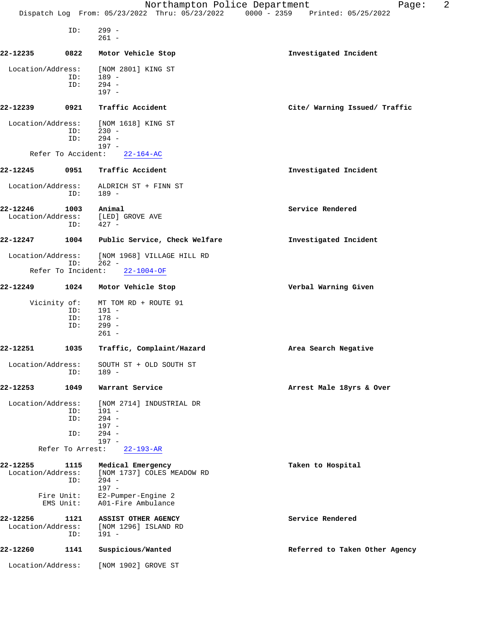|                   |                           | Northampton Police Department<br>Dispatch Log From: 05/23/2022 Thru: 05/23/2022 0000 - 2359 Printed: 05/25/2022 | 2<br>Page:                     |
|-------------------|---------------------------|-----------------------------------------------------------------------------------------------------------------|--------------------------------|
|                   |                           |                                                                                                                 |                                |
|                   | ID:                       | $299 -$<br>$261 -$                                                                                              |                                |
| 22-12235          | 0822                      | Motor Vehicle Stop                                                                                              | Investigated Incident          |
| Location/Address: |                           | [NOM 2801] KING ST                                                                                              |                                |
|                   | ID:                       | 189 -                                                                                                           |                                |
|                   | ID:                       | $294 -$<br>$197 -$                                                                                              |                                |
| 22-12239          | 0921                      | Traffic Accident                                                                                                | Cite/ Warning Issued/ Traffic  |
| Location/Address: |                           | [NOM 1618] KING ST                                                                                              |                                |
|                   | ID:                       | $230 -$                                                                                                         |                                |
|                   | ID:                       | $294 -$<br>$197 -$                                                                                              |                                |
|                   | Refer To Accident:        | $22 - 164 - AC$                                                                                                 |                                |
| 22-12245          | 0951                      | Traffic Accident                                                                                                | Investigated Incident          |
| Location/Address: | ID:                       | ALDRICH ST + FINN ST<br>$189 -$                                                                                 |                                |
| 22-12246          | 1003                      | Animal                                                                                                          | Service Rendered               |
| Location/Address: | ID:                       | [LED] GROVE AVE<br>$427 -$                                                                                      |                                |
| 22-12247          | 1004                      | Public Service, Check Welfare                                                                                   | Investigated Incident          |
| Location/Address: |                           | [NOM 1968] VILLAGE HILL RD<br>$262 -$                                                                           |                                |
|                   | ID:<br>Refer To Incident: | $22 - 1004 - OF$                                                                                                |                                |
| 22-12249          | 1024                      | Motor Vehicle Stop                                                                                              | Verbal Warning Given           |
|                   | Vicinity of:              | MT TOM RD + ROUTE 91                                                                                            |                                |
|                   | ID:                       | 191 -                                                                                                           |                                |
|                   | ID:                       | $178 -$                                                                                                         |                                |
|                   | ID:                       | $299 -$<br>$261 -$                                                                                              |                                |
| 22-12251          | 1035                      | Traffic, Complaint/Hazard                                                                                       | Area Search Negative           |
| Location/Address: |                           | SOUTH ST + OLD SOUTH ST                                                                                         |                                |
|                   | ID:                       | 189 -                                                                                                           |                                |
| 22-12253          | 1049                      | Warrant Service                                                                                                 | Arrest Male 18yrs & Over       |
| Location/Address: | ID:                       | [NOM 2714] INDUSTRIAL DR<br>$191 -$                                                                             |                                |
|                   | ID:                       | $294 -$                                                                                                         |                                |
|                   |                           | $197 -$                                                                                                         |                                |
|                   | ID:                       | $294 -$                                                                                                         |                                |
|                   | Refer To Arrest:          | $197 -$<br>$22 - 193 - AR$                                                                                      |                                |
| 22-12255          | 1115                      | Medical Emergency                                                                                               | Taken to Hospital              |
| Location/Address: |                           | [NOM 1737] COLES MEADOW RD                                                                                      |                                |
|                   | ID:                       | $294 -$                                                                                                         |                                |
|                   | Fire Unit:                | $197 -$<br>E2-Pumper-Engine 2                                                                                   |                                |
|                   | EMS Unit:                 | A01-Fire Ambulance                                                                                              |                                |
| 22-12256          | 1121                      | ASSIST OTHER AGENCY                                                                                             | Service Rendered               |
| Location/Address: | ID:                       | [NOM 1296] ISLAND RD<br>$191 -$                                                                                 |                                |
| 22-12260          | 1141                      | Suspicious/Wanted                                                                                               | Referred to Taken Other Agency |
| Location/Address: |                           |                                                                                                                 |                                |
|                   |                           | [NOM 1902] GROVE ST                                                                                             |                                |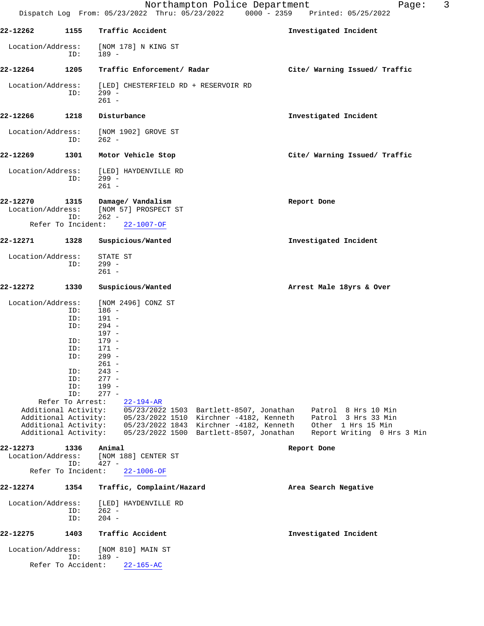|                                              |                                                                                        | Dispatch Log From: 05/23/2022 Thru: 05/23/2022                                                                                                                            | Northampton Police Department<br>$0000 - 2359$                                     | Printed: 05/25/2022                              | 3<br>Page: |
|----------------------------------------------|----------------------------------------------------------------------------------------|---------------------------------------------------------------------------------------------------------------------------------------------------------------------------|------------------------------------------------------------------------------------|--------------------------------------------------|------------|
| 22-12262                                     | 1155                                                                                   | Traffic Accident                                                                                                                                                          |                                                                                    | Investigated Incident                            |            |
| Location/Address:                            | ID:                                                                                    | [NOM 178] N KING ST<br>$189 -$                                                                                                                                            |                                                                                    |                                                  |            |
| 22-12264                                     | 1205                                                                                   | Traffic Enforcement/ Radar                                                                                                                                                |                                                                                    | Cite/ Warning Issued/ Traffic                    |            |
| Location/Address:                            | ID:                                                                                    | [LED] CHESTERFIELD RD + RESERVOIR RD<br>$299 -$<br>$261 -$                                                                                                                |                                                                                    |                                                  |            |
| 22-12266                                     | 1218                                                                                   | Disturbance                                                                                                                                                               |                                                                                    | Investigated Incident                            |            |
| Location/Address:                            | ID:                                                                                    | [NOM 1902] GROVE ST<br>$262 -$                                                                                                                                            |                                                                                    |                                                  |            |
| 22-12269                                     | 1301                                                                                   | Motor Vehicle Stop                                                                                                                                                        |                                                                                    | Cite/ Warning Issued/ Traffic                    |            |
| Location/Address:                            | ID:                                                                                    | [LED] HAYDENVILLE RD<br>$299 -$<br>$261 -$                                                                                                                                |                                                                                    |                                                  |            |
| 22-12270<br>Location/Address:                | 1315<br>ID:                                                                            | Damage/ Vandalism<br>[NOM 57] PROSPECT ST<br>$262 -$                                                                                                                      |                                                                                    | Report Done                                      |            |
| Refer To Incident:                           |                                                                                        | $22 - 1007 - OF$                                                                                                                                                          |                                                                                    |                                                  |            |
| 22-12271                                     | 1328                                                                                   | Suspicious/Wanted                                                                                                                                                         |                                                                                    | Investigated Incident                            |            |
| Location/Address:                            | ID:                                                                                    | STATE ST<br>$299 -$<br>$261 -$                                                                                                                                            |                                                                                    |                                                  |            |
| 22-12272                                     | 1330                                                                                   | Suspicious/Wanted                                                                                                                                                         |                                                                                    | Arrest Male 18yrs & Over                         |            |
| Location/Address:                            | ID:<br>ID:<br>ID:<br>ID:<br>ID:<br>ID:<br>ID:<br>ID:<br>ID:<br>ID:<br>Refer To Arrest: | [NOM 2496] CONZ ST<br>$186 -$<br>$191 -$<br>$294 -$<br>$197 -$<br>$179 -$<br>$171 -$<br>$299 -$<br>$261 -$<br>$243 -$<br>$277 -$<br>$199 -$<br>$277 -$<br>$22 - 194 - AR$ |                                                                                    |                                                  |            |
| Additional Activity:<br>Additional Activity: |                                                                                        |                                                                                                                                                                           | 05/23/2022 1503 Bartlett-8507, Jonathan<br>05/23/2022 1510 Kirchner -4182, Kenneth | Patrol 8 Hrs 10 Min<br>Patrol 3 Hrs 33 Min       |            |
| Additional Activity:<br>Additional Activity: |                                                                                        |                                                                                                                                                                           | 05/23/2022 1843 Kirchner -4182, Kenneth<br>05/23/2022 1500 Bartlett-8507, Jonathan | Other 1 Hrs 15 Min<br>Report Writing 0 Hrs 3 Min |            |
| 22-12273<br>Location/Address:                | 1336<br>ID:                                                                            | Animal<br>[NOM 188] CENTER ST<br>$427 -$                                                                                                                                  |                                                                                    | Report Done                                      |            |
| Refer To Incident:                           |                                                                                        | $22 - 1006 - OF$                                                                                                                                                          |                                                                                    |                                                  |            |
| 22-12274                                     | 1354                                                                                   | Traffic, Complaint/Hazard                                                                                                                                                 |                                                                                    | Area Search Negative                             |            |
| Location/Address:                            | ID:<br>ID:                                                                             | [LED] HAYDENVILLE RD<br>$262 -$<br>$204 -$                                                                                                                                |                                                                                    |                                                  |            |
| 22-12275                                     | 1403                                                                                   | Traffic Accident                                                                                                                                                          |                                                                                    | Investigated Incident                            |            |
| Location/Address:                            |                                                                                        | [NOM 810] MAIN ST                                                                                                                                                         |                                                                                    |                                                  |            |
| Refer To Accident:                           | ID:                                                                                    | $189 -$<br>$22 - 165 - AC$                                                                                                                                                |                                                                                    |                                                  |            |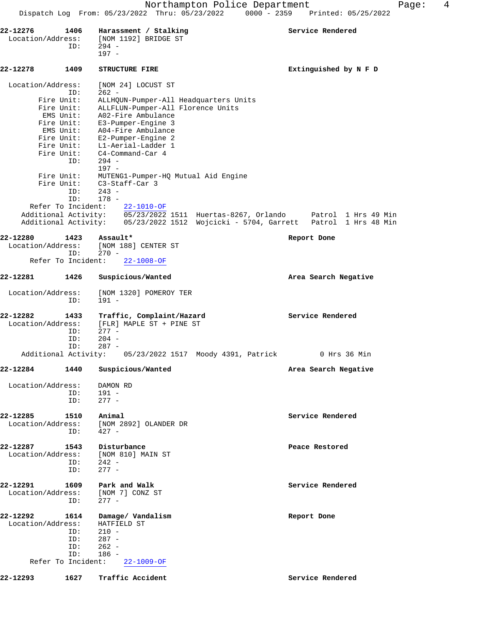|                   |                             | Northampton Police Department                                   | Page:                 |
|-------------------|-----------------------------|-----------------------------------------------------------------|-----------------------|
|                   |                             | Dispatch Log From: 05/23/2022 Thru: 05/23/2022<br>$0000 - 2359$ | Printed: 05/25/2022   |
| 22-12276          | 1406                        | Harassment / Stalking                                           | Service Rendered      |
| Location/Address: |                             | [NOM 1192] BRIDGE ST                                            |                       |
|                   | ID:                         | $294 -$<br>$197 -$                                              |                       |
| 22-12278          | 1409                        | STRUCTURE FIRE                                                  | Extinguished by N F D |
| Location/Address: | ID:                         | [NOM 24] LOCUST ST<br>$262 -$                                   |                       |
|                   | Fire Unit:                  | ALLHQUN-Pumper-All Headquarters Units                           |                       |
|                   | Fire Unit:                  | ALLFLUN-Pumper-All Florence Units                               |                       |
|                   | EMS Unit:                   | A02-Fire Ambulance                                              |                       |
|                   | Fire Unit:                  | E3-Pumper-Engine 3                                              |                       |
|                   | EMS Unit:                   | A04-Fire Ambulance                                              |                       |
|                   | Fire Unit:<br>Fire Unit:    | E2-Pumper-Engine 2<br>Ll-Aerial-Ladder 1                        |                       |
|                   | Fire Unit:                  | C4-Command-Car 4                                                |                       |
|                   | ID:                         | $294 -$                                                         |                       |
|                   |                             | $197 -$                                                         |                       |
|                   | Fire Unit:                  | MUTENG1-Pumper-HQ Mutual Aid Engine                             |                       |
|                   | Fire Unit:                  | C3-Staff-Car 3                                                  |                       |
|                   | ID:                         | $243 -$                                                         |                       |
|                   | ID:<br>Refer To Incident:   | $178 -$<br>$22 - 1010 - OF$                                     |                       |
|                   | Additional Activity:        | 05/23/2022 1511 Huertas-8267, Orlando                           | Patrol 1 Hrs 49 Min   |
|                   | Additional Activity:        | 05/23/2022 1512 Wojcicki - 5704, Garrett                        | Patrol 1 Hrs 48 Min   |
|                   |                             |                                                                 |                       |
| 22-12280          | 1423                        | Assault*                                                        | Report Done           |
| Location/Address: |                             | [NOM 188] CENTER ST                                             |                       |
|                   | ID:<br>Refer To Incident:   | $270 -$<br>$22 - 1008 - OF$                                     |                       |
|                   |                             |                                                                 |                       |
| 22-12281          | 1426                        | Suspicious/Wanted                                               | Area Search Negative  |
| Location/Address: |                             | [NOM 1320] POMEROY TER                                          |                       |
|                   | ID:                         | $191 -$                                                         |                       |
| 22-12282          | 1433                        | Traffic, Complaint/Hazard                                       | Service Rendered      |
| Location/Address: |                             | [FLR] MAPLE ST + PINE ST                                        |                       |
|                   | ID:                         | $277 -$                                                         |                       |
|                   | ID:                         | $204 -$                                                         |                       |
|                   | ID:<br>Additional Activity: | $287 -$<br>05/23/2022 1517 Moody 4391, Patrick                  | 0 Hrs 36 Min          |
|                   |                             |                                                                 |                       |
| 22-12284          | 1440                        | Suspicious/Wanted                                               | Area Search Negative  |
| Location/Address: |                             | DAMON RD                                                        |                       |
|                   | ID:                         | $191 -$                                                         |                       |
|                   | ID:                         | $277 -$                                                         |                       |
|                   |                             |                                                                 |                       |
|                   |                             |                                                                 |                       |

**22-12285 1510 Animal Service Rendered** Location/Address: [NOM 2892] OLANDER DR ID: 427 -

**22-12287 1543 Disturbance Peace Restored** Location/Address: [NOM 810] MAIN ST ID: 242 - ID: 277 -

22-12291 1609 Park and Walk **Service Rendered**  Location/Address: [NOM 7] CONZ ST ID: 277 -

**22-12292 1614 Damage/ Vandalism Report Done** Location/Address: HATFIELD ST ID: 210 -<br>ID: 287 - $287 -$  ID: 262 - ID: 186 - Refer To Incident: 22-1009-OF

**22-12293 1627 Traffic Accident Service Rendered**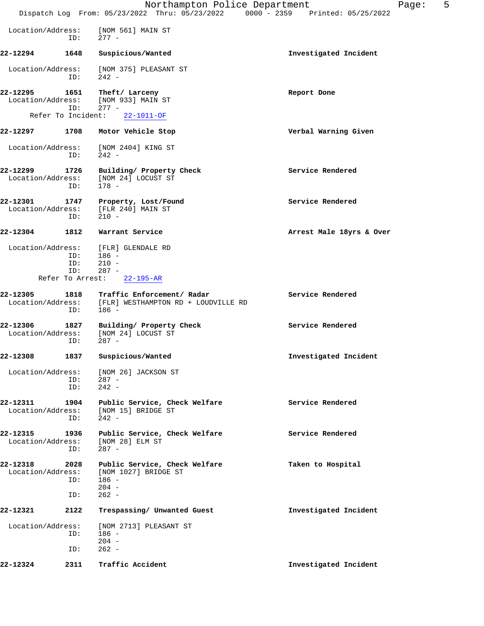|                               |                                   | Northampton Police Department<br>Dispatch Log From: 05/23/2022 Thru: 05/23/2022 0000 - 2359 Printed: 05/25/2022 |                          | 5<br>Page: |
|-------------------------------|-----------------------------------|-----------------------------------------------------------------------------------------------------------------|--------------------------|------------|
| Location/Address:             | ID:                               | [NOM 561] MAIN ST<br>$277 -$                                                                                    |                          |            |
| 22-12294                      | 1648                              | Suspicious/Wanted                                                                                               | Investigated Incident    |            |
| Location/Address:             | ID:                               | [NOM 375] PLEASANT ST<br>$242 -$                                                                                |                          |            |
| 22-12295                      | 1651<br>ID:<br>Refer To Incident: | Theft/ Larceny<br>Location/Address: [NOM 933] MAIN ST<br>$277 -$<br>$22 - 1011 - OF$                            | Report Done              |            |
| 22-12297                      |                                   | 1708 Motor Vehicle Stop                                                                                         | Verbal Warning Given     |            |
| Location/Address:             | ID:                               | [NOM 2404] KING ST<br>$242 -$                                                                                   |                          |            |
| 22-12299<br>Location/Address: | 1726<br>ID:                       | Building/ Property Check<br>[NOM 24] LOCUST ST<br>$178 -$                                                       | Service Rendered         |            |
| 22-12301                      | ID:                               | 1747 Property, Lost/Found<br>Location/Address: [FLR 240] MAIN ST<br>$210 -$                                     | Service Rendered         |            |
| 22-12304                      | 1812                              | Warrant Service                                                                                                 | Arrest Male 18yrs & Over |            |
| Location/Address:             | ID:<br>ID:<br>ID:                 | [FLR] GLENDALE RD<br>$186 -$<br>$210 -$<br>$287 -$<br>Refer To Arrest: 22-195-AR                                |                          |            |
| 22-12305                      | 1818<br>ID:                       | Traffic Enforcement/ Radar<br>Location/Address: [FLR] WESTHAMPTON RD + LOUDVILLE RD<br>$186 -$                  | Service Rendered         |            |
| 22-12306                      | ID:                               | 1827 Building/ Property Check<br>Location/Address: [NOM 24] LOCUST ST<br>$287 -$                                | Service Rendered         |            |
| 22-12308                      | 1837                              | Suspicious/Wanted                                                                                               | Investigated Incident    |            |
| Location/Address:             | ID:<br>ID:                        | [NOM 26] JACKSON ST<br>$287 -$<br>$242 -$                                                                       |                          |            |
| 22-12311<br>Location/Address: | 1904<br>ID:                       | Public Service, Check Welfare<br>[NOM 15] BRIDGE ST<br>$242 -$                                                  | Service Rendered         |            |
| 22-12315<br>Location/Address: | 1936<br>ID:                       | Public Service, Check Welfare<br>[NOM 28] ELM ST<br>$287 -$                                                     | Service Rendered         |            |
| 22-12318<br>Location/Address: | 2028<br>ID:<br>ID:                | Public Service, Check Welfare<br>[NOM 1027] BRIDGE ST<br>$186 -$<br>$204 -$<br>$262 -$                          | Taken to Hospital        |            |
| 22-12321                      | 2122                              | Trespassing/ Unwanted Guest                                                                                     | Investigated Incident    |            |
| Location/Address:             | ID:<br>ID:                        | [NOM 2713] PLEASANT ST<br>$186 -$<br>$204 -$<br>$262 -$                                                         |                          |            |
| 22-12324                      | 2311                              | Traffic Accident                                                                                                | Investigated Incident    |            |